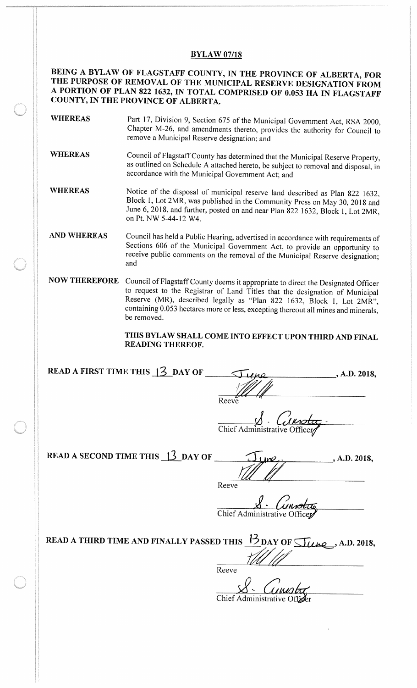## **BYLAW 07/18**

## BEING A BYLAW OF FLAGSTAFF COUNTY, IN THE PROVINCE OF ALBERTA, FOR THE PURPOSE OF REMOVAL OF THE MUNICIPAL RESERVE DESIGNATION FROM A PORTION OF PLAN 822 1632, IN TOTAL COMPRISED OF 0. 053 HA IN FLAGSTAFF COUNTY, IN THE PROVINCE OF ALBERTA.

- WHEREAS Part 17, Division 9, Section 675 of the Municipal Government Act, RSA 2000, Chapter M-26, and amendments thereto, provides the authority for Council to remove a Municipal Reserve designation; and
- WHEREAS Council of Flagstaff County has determined that the Municipal Reserve Property, as outlined on Schedule A attached hereto, be subject to removal and disposal, in accordance with the Municipal Government Act; and
- WHEREAS Notice of the disposal of municipal reserve land described as Plan 822 1632, Block 1, Lot 2MR, was published in the Community Press on May 30, 2018 and June 6, 2018, and further, posted on and near Plan 822 1632, Block 1, Lot 2MR, on Pt. NW 5-44-12 W4.
- AND WHEREAS Council has held a Public Hearing, advertised in accordance with requirements of Sections 606 of the Municipal Government Act, to provide an opportunity to receive public comments on the removal of the Municipal Reserve designation; and
- NOW THEREFORE Council of Flagstaff County deems it appropriate to direct the Designated Officer to request to the Registrar of Land Titles that the designation of Municipal Reserve (MR), described legally as "Plan 822 1632, Block 1, Lot 2MR", containing 0.053 hectares more or less, excepting thereout all mines and minerals, be removed.

THIS BYLAW SHALL COME INTO EFFECT UPON THIRD AND FINAL READING THEREOF.

| <b>READ A FIRST TIME THIS <math>\frac{3}{2}</math> DAY OF</b>                    | , A.D. 2018,                          |
|----------------------------------------------------------------------------------|---------------------------------------|
|                                                                                  | Reeve                                 |
|                                                                                  | Chief Administrative Of               |
| <b>READ A SECOND TIME THIS <math>\frac{13}{2}</math> DAY OF</b>                  | , A.D. 2018,                          |
|                                                                                  | Reeve<br>Chief Administrative Officer |
| READ A THIRD TIME AND FINALLY PASSED THIS $\frac{13}{2}$ DAY OF June, A.D. 2018, |                                       |
|                                                                                  | Reeve                                 |
|                                                                                  | Chief Administrative Offer            |
|                                                                                  |                                       |